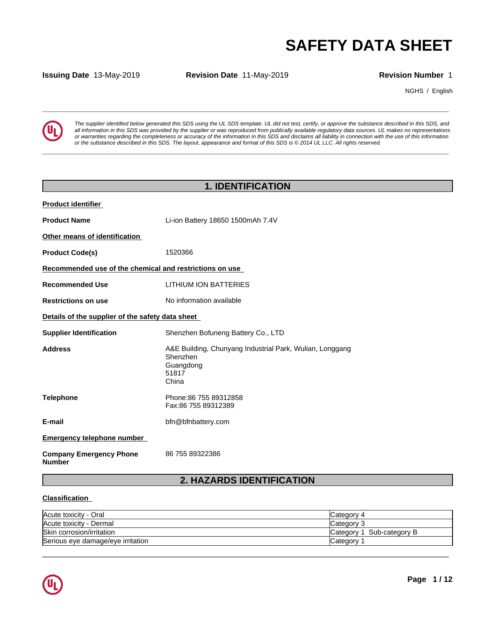**Issuing Date** 13-May-2019 **Revision Date** 11-May-2019 **Revision Number** 1

NGHS / English



**SAFETY DATA SHEET**<br> **SECULTER SHEET**<br> **Revision Number 1**<br> **Revision Number 1**<br> **Revision Number 1**<br> **All information in this SDS** was provided by the supplier or was reproduced from publically available requisive of the *The supplier identified below generated this SDS using the UL SDS template. UL did not test, certify, or approve the substance described in this SDS, and* all information in this SDS was provided by the supplier or was reproduced from publically available regulatory data sources. UL makes no representations or warranties regarding the completeness or accuracy of the information in this SDS and disclaims all liability in connection with the use of this information or the substance described in this SDS. The layout, appearance and format of this SDS is @2014 UL LLC. All rights reserved.

**\_\_\_\_\_\_\_\_\_\_\_\_\_\_\_\_\_\_\_\_\_\_\_\_\_\_\_\_\_\_\_\_\_\_\_\_\_\_\_\_\_\_\_\_\_\_\_\_\_\_\_\_\_\_\_\_\_\_\_\_\_\_\_\_\_\_\_\_\_\_\_\_\_\_\_\_\_\_\_\_\_\_\_\_\_\_\_\_\_\_\_\_\_**

# **1. IDENTIFICATION**

| <b>Product identifier</b>                               |                                                                                                     |  |  |  |  |  |  |
|---------------------------------------------------------|-----------------------------------------------------------------------------------------------------|--|--|--|--|--|--|
| <b>Product Name</b>                                     | Li-ion Battery 18650 1500mAh 7.4V                                                                   |  |  |  |  |  |  |
| Other means of identification                           |                                                                                                     |  |  |  |  |  |  |
| <b>Product Code(s)</b>                                  | 1520366                                                                                             |  |  |  |  |  |  |
| Recommended use of the chemical and restrictions on use |                                                                                                     |  |  |  |  |  |  |
| <b>Recommended Use</b>                                  | <b>LITHIUM ION BATTERIES</b>                                                                        |  |  |  |  |  |  |
| <b>Restrictions on use</b>                              | No information available                                                                            |  |  |  |  |  |  |
| Details of the supplier of the safety data sheet        |                                                                                                     |  |  |  |  |  |  |
| <b>Supplier Identification</b>                          | Shenzhen Bofuneng Battery Co., LTD                                                                  |  |  |  |  |  |  |
| <b>Address</b>                                          | A&E Building, Chunyang Industrial Park, Wulian, Longgang<br>Shenzhen<br>Guangdong<br>51817<br>China |  |  |  |  |  |  |
| <b>Telephone</b>                                        | Phone: 86 755 89312858<br>Fax:86 755 89312389                                                       |  |  |  |  |  |  |
| E-mail                                                  | bfn@bfnbattery.com                                                                                  |  |  |  |  |  |  |
| <b>Emergency telephone number</b>                       |                                                                                                     |  |  |  |  |  |  |
| <b>Company Emergency Phone</b><br><b>Number</b>         | 86 755 89322386                                                                                     |  |  |  |  |  |  |

# **2. HAZARDS IDENTIFICATION**

### **Classification**

| Acute toxicity<br>- Oral          | Category 4                 |
|-----------------------------------|----------------------------|
| Acute toxicity -<br>- Dermal      | Category                   |
| Skin corrosion/irritation         | Sub-category B<br>Category |
| Serious eye damage/eye irritation | ∵ategorٽ                   |

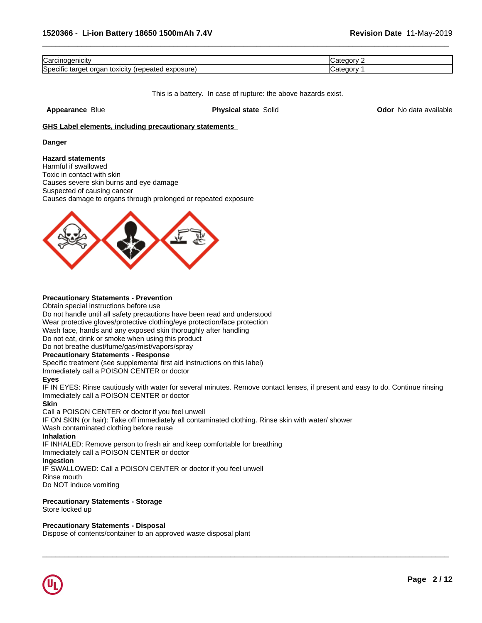| 14 nicit<br>'arٽ                                                                      | . .<br>----<br>л. |
|---------------------------------------------------------------------------------------|-------------------|
| $\cdots$<br>exposure<br>----<br>ుగి?ొ<br>τοχιςι<br>ΩГ<br>тагос<br>ш<br>$\sim$<br>-200 | . .<br>----       |

This is a battery. In case of rupture: the above hazards exist.

**Appearance** Blue **Physical state** Solid **Odor** No data available

### **GHS Label elements, including precautionary statements**

### **Danger**

### **Hazard statements**

Harmful if swallowed Toxic in contact with skin Causes severe skin burns and eye damage Suspected of causing cancer Causes damage to organs through prolonged or repeated exposure



### **Precautionary Statements - Prevention**

Obtain special instructions before use

Do not handle until all safety precautions have been read and understood

Wear protective gloves/protective clothing/eye protection/face protection

Wash face, hands and any exposed skin thoroughly after handling

Do not eat, drink or smoke when using this product

Do not breathe dust/fume/gas/mist/vapors/spray

### **Precautionary Statements - Response**

Specific treatment (see supplemental first aid instructions on this label)

Immediately call a POISON CENTER or doctor

### **Eyes**

IF IN EYES: Rinse cautiously with water for several minutes. Remove contact lenses, if present and easy to do. Continue rinsing Immediately call a POISON CENTER or doctor

 $\overline{\phantom{a}}$  ,  $\overline{\phantom{a}}$  ,  $\overline{\phantom{a}}$  ,  $\overline{\phantom{a}}$  ,  $\overline{\phantom{a}}$  ,  $\overline{\phantom{a}}$  ,  $\overline{\phantom{a}}$  ,  $\overline{\phantom{a}}$  ,  $\overline{\phantom{a}}$  ,  $\overline{\phantom{a}}$  ,  $\overline{\phantom{a}}$  ,  $\overline{\phantom{a}}$  ,  $\overline{\phantom{a}}$  ,  $\overline{\phantom{a}}$  ,  $\overline{\phantom{a}}$  ,  $\overline{\phantom{a}}$ 

### **Skin**

Call a POISON CENTER or doctor if you feel unwell

IF ON SKIN (or hair): Take off immediately all contaminated clothing. Rinse skin with water/ shower

Wash contaminated clothing before reuse

### **Inhalation**

IF INHALED: Remove person to fresh air and keep comfortable for breathing

Immediately call a POISON CENTER or doctor

### **Ingestion**

IF SWALLOWED: Call a POISON CENTER or doctor if you feel unwell Rinse mouth Do NOT induce vomiting

### **Precautionary Statements - Storage**

Store locked up

### **Precautionary Statements - Disposal**

Dispose of contents/container to an approved waste disposal plant

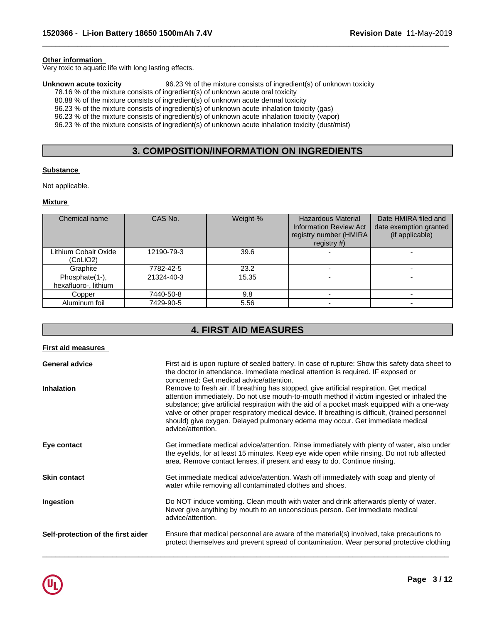### **Other information**

Very toxic to aquatic life with long lasting effects.

**Unknown acute toxicity** 96.23 % of the mixture consists of ingredient(s) of unknown toxicity 78.16 % of the mixture consists of ingredient(s) of unknown acute oral toxicity

80.88 % of the mixture consists of ingredient(s) of unknown acute dermal toxicity

96.23 % of the mixture consists of ingredient(s) of unknown acute inhalation toxicity (gas) 96.23 % of the mixture consists of ingredient(s) of unknown acute inhalation toxicity (vapor)

96.23 % of the mixture consists of ingredient(s) of unknown acute inhalation toxicity (dust/mist)

# **3. COMPOSITION/INFORMATION ON INGREDIENTS**

 $\overline{\phantom{a}}$  ,  $\overline{\phantom{a}}$  ,  $\overline{\phantom{a}}$  ,  $\overline{\phantom{a}}$  ,  $\overline{\phantom{a}}$  ,  $\overline{\phantom{a}}$  ,  $\overline{\phantom{a}}$  ,  $\overline{\phantom{a}}$  ,  $\overline{\phantom{a}}$  ,  $\overline{\phantom{a}}$  ,  $\overline{\phantom{a}}$  ,  $\overline{\phantom{a}}$  ,  $\overline{\phantom{a}}$  ,  $\overline{\phantom{a}}$  ,  $\overline{\phantom{a}}$  ,  $\overline{\phantom{a}}$ 

### **Substance**

Not applicable.

### **Mixture**

| Chemical name                          | CAS No.    | Weight-% | <b>Hazardous Material</b><br><b>Information Review Act</b><br>registry number (HMIRA)<br>registry $#$ ) | Date HMIRA filed and<br>date exemption granted<br>(if applicable) |
|----------------------------------------|------------|----------|---------------------------------------------------------------------------------------------------------|-------------------------------------------------------------------|
| Lithium Cobalt Oxide<br>(CoLiO2)       | 12190-79-3 | 39.6     |                                                                                                         |                                                                   |
| Graphite                               | 7782-42-5  | 23.2     |                                                                                                         |                                                                   |
| Phosphate(1-),<br>hexafluoro-, lithium | 21324-40-3 | 15.35    |                                                                                                         |                                                                   |
| Copper                                 | 7440-50-8  | 9.8      |                                                                                                         |                                                                   |
| Aluminum foil                          | 7429-90-5  | 5.56     |                                                                                                         |                                                                   |

# **4. FIRST AID MEASURES**

| <b>First aid measures</b>          |                                                                                                                                                                                                                                                                                                                                                                                                                                                                                               |
|------------------------------------|-----------------------------------------------------------------------------------------------------------------------------------------------------------------------------------------------------------------------------------------------------------------------------------------------------------------------------------------------------------------------------------------------------------------------------------------------------------------------------------------------|
| <b>General advice</b>              | First aid is upon rupture of sealed battery. In case of rupture: Show this safety data sheet to<br>the doctor in attendance. Immediate medical attention is required. IF exposed or<br>concerned: Get medical advice/attention.                                                                                                                                                                                                                                                               |
| Inhalation                         | Remove to fresh air. If breathing has stopped, give artificial respiration. Get medical<br>attention immediately. Do not use mouth-to-mouth method if victim ingested or inhaled the<br>substance; give artificial respiration with the aid of a pocket mask equipped with a one-way<br>valve or other proper respiratory medical device. If breathing is difficult, (trained personnel<br>should) give oxygen. Delayed pulmonary edema may occur. Get immediate medical<br>advice/attention. |
| Eye contact                        | Get immediate medical advice/attention. Rinse immediately with plenty of water, also under<br>the eyelids, for at least 15 minutes. Keep eye wide open while rinsing. Do not rub affected<br>area. Remove contact lenses, if present and easy to do. Continue rinsing.                                                                                                                                                                                                                        |
| <b>Skin contact</b>                | Get immediate medical advice/attention. Wash off immediately with soap and plenty of<br>water while removing all contaminated clothes and shoes.                                                                                                                                                                                                                                                                                                                                              |
| Ingestion                          | Do NOT induce vomiting. Clean mouth with water and drink afterwards plenty of water.<br>Never give anything by mouth to an unconscious person. Get immediate medical<br>advice/attention.                                                                                                                                                                                                                                                                                                     |
| Self-protection of the first aider | Ensure that medical personnel are aware of the material(s) involved, take precautions to<br>protect themselves and prevent spread of contamination. Wear personal protective clothing                                                                                                                                                                                                                                                                                                         |

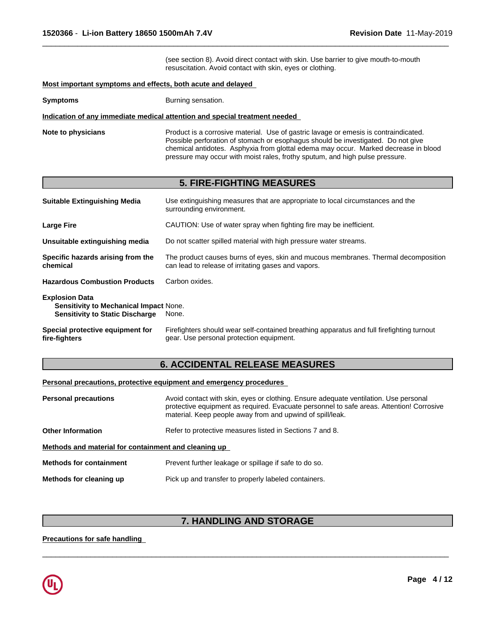(see section 8). Avoid direct contact with skin. Use barrier to give mouth-to-mouth resuscitation. Avoid contact with skin, eyes or clothing.

 $\overline{\phantom{a}}$  ,  $\overline{\phantom{a}}$  ,  $\overline{\phantom{a}}$  ,  $\overline{\phantom{a}}$  ,  $\overline{\phantom{a}}$  ,  $\overline{\phantom{a}}$  ,  $\overline{\phantom{a}}$  ,  $\overline{\phantom{a}}$  ,  $\overline{\phantom{a}}$  ,  $\overline{\phantom{a}}$  ,  $\overline{\phantom{a}}$  ,  $\overline{\phantom{a}}$  ,  $\overline{\phantom{a}}$  ,  $\overline{\phantom{a}}$  ,  $\overline{\phantom{a}}$  ,  $\overline{\phantom{a}}$ 

### **Most important symptoms and effects, both acute and delayed**

**Symptoms** Burning sensation.

### **Indication of any immediate medical attention and special treatment needed**

**Note to physicians** Product is a corrosive material. Use of gastric lavage or emesis is contraindicated. Possible perforation of stomach or esophagus should be investigated. Do not give chemical antidotes. Asphyxia from glottal edema may occur. Marked decrease in blood pressure may occur with moist rales, frothy sputum, and high pulse pressure.

# **5. FIRE-FIGHTING MEASURES**

| Use extinguishing measures that are appropriate to local circumstances and the<br><b>Suitable Extinguishing Media</b><br>surrounding environment. |                                                                                                                                           |  |  |  |  |
|---------------------------------------------------------------------------------------------------------------------------------------------------|-------------------------------------------------------------------------------------------------------------------------------------------|--|--|--|--|
| <b>Large Fire</b>                                                                                                                                 | CAUTION: Use of water spray when fighting fire may be inefficient.                                                                        |  |  |  |  |
| Unsuitable extinguishing media                                                                                                                    | Do not scatter spilled material with high pressure water streams.                                                                         |  |  |  |  |
| Specific hazards arising from the<br>chemical                                                                                                     | The product causes burns of eyes, skin and mucous membranes. Thermal decomposition<br>can lead to release of irritating gases and vapors. |  |  |  |  |
| <b>Hazardous Combustion Products</b>                                                                                                              | Carbon oxides.                                                                                                                            |  |  |  |  |
| <b>Explosion Data</b><br><b>Sensitivity to Mechanical Impact None.</b><br><b>Sensitivity to Static Discharge</b>                                  | None.                                                                                                                                     |  |  |  |  |
| Special protective equipment for<br>fire-fighters                                                                                                 | Firefighters should wear self-contained breathing apparatus and full firefighting turnout<br>gear. Use personal protection equipment.     |  |  |  |  |

## **6. ACCIDENTAL RELEASE MEASURES**

### **Personal precautions, protective equipment and emergency procedures**

| <b>Personal precautions</b>                          | Avoid contact with skin, eyes or clothing. Ensure adequate ventilation. Use personal<br>protective equipment as required. Evacuate personnel to safe areas. Attention! Corrosive<br>material. Keep people away from and upwind of spill/leak. |  |  |  |  |  |
|------------------------------------------------------|-----------------------------------------------------------------------------------------------------------------------------------------------------------------------------------------------------------------------------------------------|--|--|--|--|--|
| <b>Other Information</b>                             | Refer to protective measures listed in Sections 7 and 8.                                                                                                                                                                                      |  |  |  |  |  |
| Methods and material for containment and cleaning up |                                                                                                                                                                                                                                               |  |  |  |  |  |
| <b>Methods for containment</b>                       | Prevent further leakage or spillage if safe to do so.                                                                                                                                                                                         |  |  |  |  |  |
| Methods for cleaning up                              | Pick up and transfer to properly labeled containers.                                                                                                                                                                                          |  |  |  |  |  |

# **7. HANDLING AND STORAGE**

 $\overline{\phantom{a}}$  ,  $\overline{\phantom{a}}$  ,  $\overline{\phantom{a}}$  ,  $\overline{\phantom{a}}$  ,  $\overline{\phantom{a}}$  ,  $\overline{\phantom{a}}$  ,  $\overline{\phantom{a}}$  ,  $\overline{\phantom{a}}$  ,  $\overline{\phantom{a}}$  ,  $\overline{\phantom{a}}$  ,  $\overline{\phantom{a}}$  ,  $\overline{\phantom{a}}$  ,  $\overline{\phantom{a}}$  ,  $\overline{\phantom{a}}$  ,  $\overline{\phantom{a}}$  ,  $\overline{\phantom{a}}$ 

### **Precautions for safe handling**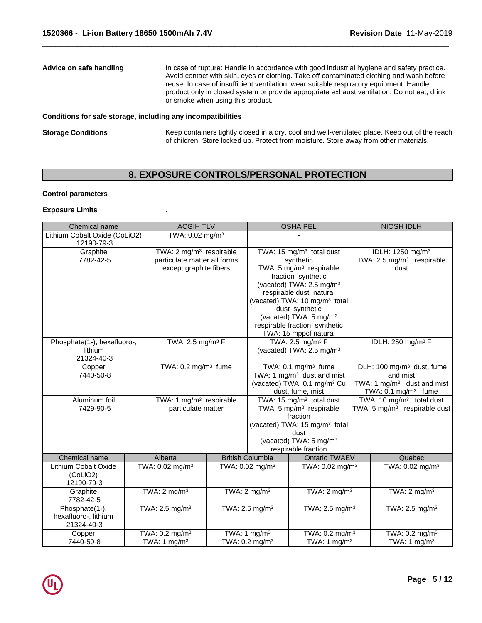# **Conditions for safe storage, including any incompatibilities**

**Storage Conditions** Keep containers tightly closed in a dry, cool and well-ventilated place. Keep out of the reach of children. Store locked up. Protect from moisture. Store away from other materials.

# **8. EXPOSURE CONTROLS/PERSONAL PROTECTION**

### **Control parameters**

### **Exposure Limits** .

| Chemical name                                                   |                                                                                               | <b>ACGIH TLV</b>                                          |  |                                                                                                                                                                                                                                                                                                                                                          | <b>OSHA PEL</b>                                                                                                                                                                                           |                                                                       | NIOSH IDLH                                                                                                           |
|-----------------------------------------------------------------|-----------------------------------------------------------------------------------------------|-----------------------------------------------------------|--|----------------------------------------------------------------------------------------------------------------------------------------------------------------------------------------------------------------------------------------------------------------------------------------------------------------------------------------------------------|-----------------------------------------------------------------------------------------------------------------------------------------------------------------------------------------------------------|-----------------------------------------------------------------------|----------------------------------------------------------------------------------------------------------------------|
| Lithium Cobalt Oxide (CoLiO2)<br>12190-79-3                     |                                                                                               | TWA: 0.02 mg/m <sup>3</sup>                               |  |                                                                                                                                                                                                                                                                                                                                                          |                                                                                                                                                                                                           |                                                                       |                                                                                                                      |
| Graphite<br>7782-42-5                                           | TWA: 2 mg/m <sup>3</sup> respirable<br>particulate matter all forms<br>except graphite fibers |                                                           |  | TWA: 15 mg/m <sup>3</sup> total dust<br>synthetic<br>TWA: 5 mg/m <sup>3</sup> respirable<br>dust<br>fraction synthetic<br>(vacated) TWA: 2.5 mg/m <sup>3</sup><br>respirable dust natural<br>(vacated) TWA: 10 mg/m <sup>3</sup> total<br>dust synthetic<br>(vacated) TWA: 5 mg/m <sup>3</sup><br>respirable fraction synthetic<br>TWA: 15 mppcf natural |                                                                                                                                                                                                           | IDLH: 1250 mg/m <sup>3</sup><br>TWA: 2.5 mg/m <sup>3</sup> respirable |                                                                                                                      |
| Phosphate(1-), hexafluoro-,<br>lithium<br>21324-40-3            | TWA: 2.5 mg/m <sup>3</sup> F                                                                  |                                                           |  | TWA: 2.5 mg/m <sup>3</sup> F<br>(vacated) TWA: 2.5 mg/m <sup>3</sup>                                                                                                                                                                                                                                                                                     |                                                                                                                                                                                                           |                                                                       | IDLH: 250 mg/m <sup>3</sup> F                                                                                        |
| Copper<br>7440-50-8                                             |                                                                                               | TWA: $0.2$ mg/m <sup>3</sup> fume                         |  | TWA: $0.1 \text{ mg/m}^3$ fume<br>TWA: 1 mg/m <sup>3</sup> dust and mist<br>(vacated) TWA: 0.1 mg/m <sup>3</sup> Cu<br>dust, fume, mist                                                                                                                                                                                                                  |                                                                                                                                                                                                           |                                                                       | IDLH: 100 mg/m <sup>3</sup> dust, fume<br>and mist<br>TWA: 1 $mg/m3$ dust and mist<br>TWA: $0.1 \text{ mg/m}^3$ fume |
| Aluminum foil<br>7429-90-5                                      |                                                                                               | TWA: 1 mg/m <sup>3</sup> respirable<br>particulate matter |  |                                                                                                                                                                                                                                                                                                                                                          | TWA: 15 mg/m <sup>3</sup> total dust<br>TWA: 5 mg/m <sup>3</sup> respirable<br>fraction<br>(vacated) TWA: 15 mg/m <sup>3</sup> total<br>dust<br>(vacated) TWA: 5 mg/m <sup>3</sup><br>respirable fraction |                                                                       | TWA: 10 $mg/m3$ total dust<br>TWA: 5 mg/m <sup>3</sup> respirable dust                                               |
| Chemical name<br>Lithium Cobalt Oxide<br>(CoLiO2)<br>12190-79-3 |                                                                                               | Alberta<br>TWA: 0.02 mg/m <sup>3</sup>                    |  | <b>British Columbia</b><br>TWA: 0.02 mg/m <sup>3</sup>                                                                                                                                                                                                                                                                                                   | <b>Ontario TWAEV</b><br>TWA: 0.02 mg/m <sup>3</sup>                                                                                                                                                       |                                                                       | Quebec<br>TWA: 0.02 mg/m <sup>3</sup>                                                                                |
| Graphite<br>7782-42-5                                           |                                                                                               | TWA: $2 \text{ mg/m}^3$                                   |  | TWA: $2 \text{ mg/m}^3$<br>TWA: $2 \text{ mg/m}^3$                                                                                                                                                                                                                                                                                                       |                                                                                                                                                                                                           |                                                                       | TWA: $2 \text{ mg/m}^3$                                                                                              |
| Phosphate(1-),<br>hexafluoro-, lithium<br>21324-40-3            |                                                                                               | TWA: 2.5 mg/m <sup>3</sup>                                |  | TWA: 2.5 mg/m <sup>3</sup><br>TWA: 2.5 mg/m <sup>3</sup>                                                                                                                                                                                                                                                                                                 |                                                                                                                                                                                                           |                                                                       | TWA: 2.5 mg/m <sup>3</sup>                                                                                           |
| Copper<br>7440-50-8                                             |                                                                                               | TWA: $0.2$ mg/m <sup>3</sup><br>TWA: 1 mg/m <sup>3</sup>  |  | TWA: $1 \text{ mg/m}^3$<br>TWA: $0.2$ mg/m <sup>3</sup>                                                                                                                                                                                                                                                                                                  | TWA: 0.2 mg/m <sup>3</sup><br>TWA: 1 $mg/m3$                                                                                                                                                              |                                                                       | TWA: $0.2$ mg/m <sup>3</sup><br>TWA: 1 mg/m <sup>3</sup>                                                             |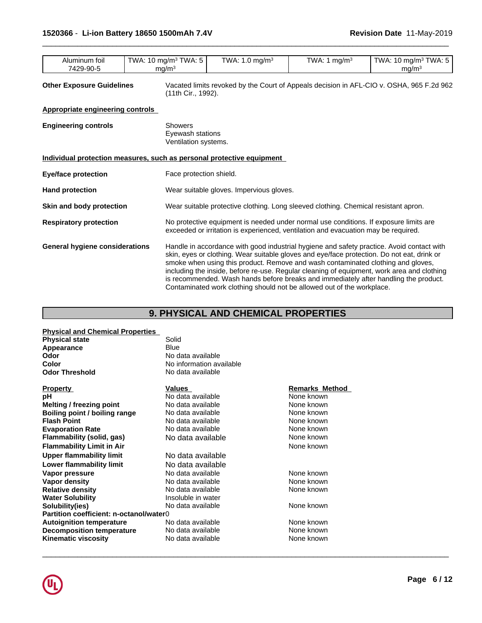| . .<br>TWA.<br>T <sub>1</sub><br>TWA.<br>TWA<br>TWA: 5<br>. .<br>.u ma/m3<br>ma/m∘<br>Aluminum foil<br>) ma/mi<br>1 U<br>V V<br>◡<br>٠.<br>۰.<br>. .<br>. .<br>7429-90-5<br>ma/m∘ |
|-----------------------------------------------------------------------------------------------------------------------------------------------------------------------------------|
|-----------------------------------------------------------------------------------------------------------------------------------------------------------------------------------|

**Other Exposure Guidelines** Vacated limits revoked by the Court of Appeals decision in AFL-CIO v.OSHA, 965 F.2d 962 (11th Cir., 1992).

 $\overline{\phantom{a}}$  ,  $\overline{\phantom{a}}$  ,  $\overline{\phantom{a}}$  ,  $\overline{\phantom{a}}$  ,  $\overline{\phantom{a}}$  ,  $\overline{\phantom{a}}$  ,  $\overline{\phantom{a}}$  ,  $\overline{\phantom{a}}$  ,  $\overline{\phantom{a}}$  ,  $\overline{\phantom{a}}$  ,  $\overline{\phantom{a}}$  ,  $\overline{\phantom{a}}$  ,  $\overline{\phantom{a}}$  ,  $\overline{\phantom{a}}$  ,  $\overline{\phantom{a}}$  ,  $\overline{\phantom{a}}$ 

### **Appropriate engineering controls**

| <b>Engineering controls</b>           | <b>Showers</b><br>Eyewash stations<br>Ventilation systems.                                                                                                                                                                                                                                                                                                                                                                                                                                                                                  |  |  |  |  |
|---------------------------------------|---------------------------------------------------------------------------------------------------------------------------------------------------------------------------------------------------------------------------------------------------------------------------------------------------------------------------------------------------------------------------------------------------------------------------------------------------------------------------------------------------------------------------------------------|--|--|--|--|
|                                       | Individual protection measures, such as personal protective equipment                                                                                                                                                                                                                                                                                                                                                                                                                                                                       |  |  |  |  |
| Eye/face protection                   | Face protection shield.                                                                                                                                                                                                                                                                                                                                                                                                                                                                                                                     |  |  |  |  |
| <b>Hand protection</b>                | Wear suitable gloves. Impervious gloves.                                                                                                                                                                                                                                                                                                                                                                                                                                                                                                    |  |  |  |  |
| Skin and body protection              | Wear suitable protective clothing. Long sleeved clothing. Chemical resistant apron.                                                                                                                                                                                                                                                                                                                                                                                                                                                         |  |  |  |  |
| <b>Respiratory protection</b>         | No protective equipment is needed under normal use conditions. If exposure limits are<br>exceeded or irritation is experienced, ventilation and evacuation may be required.                                                                                                                                                                                                                                                                                                                                                                 |  |  |  |  |
| <b>General hygiene considerations</b> | Handle in accordance with good industrial hygiene and safety practice. Avoid contact with<br>skin, eyes or clothing. Wear suitable gloves and eye/face protection. Do not eat, drink or<br>smoke when using this product. Remove and wash contaminated clothing and gloves,<br>including the inside, before re-use. Regular cleaning of equipment, work area and clothing<br>is recommended. Wash hands before breaks and immediately after handling the product.<br>Contaminated work clothing should not be allowed out of the workplace. |  |  |  |  |

# **9. PHYSICAL AND CHEMICAL PROPERTIES**

# **Physical and Chemical Properties**

| <b>Physical state</b> | Solid                    |
|-----------------------|--------------------------|
| Appearance            | Blue                     |
| Odor                  | No data available        |
| Color                 | No information available |
| <b>Odor Threshold</b> | No data available        |

| 11 Y P V I L Y                          | .uuvo              | וויטווומו כאו ואווויט |
|-----------------------------------------|--------------------|-----------------------|
| рH                                      | No data available  | None known            |
| <b>Melting / freezing point</b>         | No data available  | None known            |
| Boiling point / boiling range           | No data available  | None known            |
| <b>Flash Point</b>                      | No data available  | None known            |
| <b>Evaporation Rate</b>                 | No data available  | None known            |
| Flammability (solid, gas)               | No data available  | None known            |
| <b>Flammability Limit in Air</b>        |                    | None known            |
| <b>Upper flammability limit</b>         | No data available  |                       |
| Lower flammability limit                | No data available  |                       |
| Vapor pressure                          | No data available  | None known            |
| Vapor density                           | No data available  | None known            |
| <b>Relative density</b>                 | No data available  | None known            |
| <b>Water Solubility</b>                 | Insoluble in water |                       |
| Solubility(ies)                         | No data available  | None known            |
| Partition coefficient: n-octanol/water0 |                    |                       |
| <b>Autoignition temperature</b>         | No data available  | None known            |
| <b>Decomposition temperature</b>        | No data available  | None known            |
| <b>Kinematic viscosity</b>              | No data available  | None known            |
|                                         |                    |                       |

| a available       |  |
|-------------------|--|
| rmation available |  |
| a available       |  |
|                   |  |

| <b>Property</b>                         | Values             | <b>Remarks Method</b> |
|-----------------------------------------|--------------------|-----------------------|
| рH                                      | No data available  | None known            |
| Melting / freezing point                | No data available  | None known            |
| Boiling point / boiling range           | No data available  | None known            |
| Flash Point                             | No data available  | None known            |
| <b>Evaporation Rate</b>                 | No data available  | None known            |
| Flammability (solid, gas)               | No data available  | None known            |
| <b>Flammability Limit in Air</b>        |                    | None known            |
| Upper flammability limit                | No data available  |                       |
| Lower flammability limit                | No data available  |                       |
| Vapor pressure                          | No data available  | None known            |
| Vapor density                           | No data available  | None known            |
| <b>Relative density</b>                 | No data available  | None known            |
| Water Solubility                        | Insoluble in water |                       |
| Solubility(ies)                         | No data available  | None known            |
| Partition coefficient: n-octanol/water0 |                    |                       |
| <b>Autoignition temperature</b>         | No data available  | None known            |
| <b>Decomposition temperature</b>        | No data available  | None known            |
| Kinematic viscosity                     | No data available  | None known            |
|                                         |                    |                       |

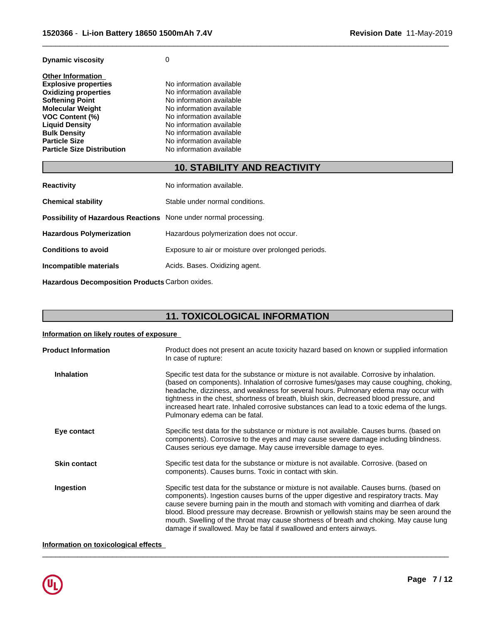| <b>Dynamic viscosity</b> |  |
|--------------------------|--|
|--------------------------|--|

| <b>Other Information</b>          |                          |  |
|-----------------------------------|--------------------------|--|
| <b>Explosive properties</b>       | No information available |  |
| <b>Oxidizing properties</b>       | No information available |  |
| <b>Softening Point</b>            | No information available |  |
| Molecular Weight                  | No information available |  |
| <b>VOC Content (%)</b>            | No information available |  |
| <b>Liquid Density</b>             | No information available |  |
| <b>Bulk Density</b>               | No information available |  |
| <b>Particle Size</b>              | No information available |  |
| <b>Particle Size Distribution</b> | No information available |  |
|                                   |                          |  |

# **10. STABILITY AND REACTIVITY**

 $\overline{\phantom{a}}$  ,  $\overline{\phantom{a}}$  ,  $\overline{\phantom{a}}$  ,  $\overline{\phantom{a}}$  ,  $\overline{\phantom{a}}$  ,  $\overline{\phantom{a}}$  ,  $\overline{\phantom{a}}$  ,  $\overline{\phantom{a}}$  ,  $\overline{\phantom{a}}$  ,  $\overline{\phantom{a}}$  ,  $\overline{\phantom{a}}$  ,  $\overline{\phantom{a}}$  ,  $\overline{\phantom{a}}$  ,  $\overline{\phantom{a}}$  ,  $\overline{\phantom{a}}$  ,  $\overline{\phantom{a}}$ 

| <b>Reactivity</b>                                                       | No information available.                           |
|-------------------------------------------------------------------------|-----------------------------------------------------|
| <b>Chemical stability</b>                                               | Stable under normal conditions.                     |
| <b>Possibility of Hazardous Reactions</b> None under normal processing. |                                                     |
| <b>Hazardous Polymerization</b>                                         | Hazardous polymerization does not occur.            |
| <b>Conditions to avoid</b>                                              | Exposure to air or moisture over prolonged periods. |
| Incompatible materials                                                  | Acids. Bases. Oxidizing agent.                      |

**Hazardous Decomposition Products** Carbon oxides.

# **11. TOXICOLOGICAL INFORMATION**

### **Information on likely routes of exposure**

| Product does not present an acute toxicity hazard based on known or supplied information<br>In case of rupture:                                                                                                                                                                                                                                                                                                                                                                                                                          |
|------------------------------------------------------------------------------------------------------------------------------------------------------------------------------------------------------------------------------------------------------------------------------------------------------------------------------------------------------------------------------------------------------------------------------------------------------------------------------------------------------------------------------------------|
| Specific test data for the substance or mixture is not available. Corrosive by inhalation.<br>(based on components). Inhalation of corrosive fumes/gases may cause coughing, choking,<br>headache, dizziness, and weakness for several hours. Pulmonary edema may occur with<br>tightness in the chest, shortness of breath, bluish skin, decreased blood pressure, and<br>increased heart rate. Inhaled corrosive substances can lead to a toxic edema of the lungs.<br>Pulmonary edema can be fatal.                                   |
| Specific test data for the substance or mixture is not available. Causes burns. (based on<br>components). Corrosive to the eyes and may cause severe damage including blindness.<br>Causes serious eye damage. May cause irreversible damage to eyes.                                                                                                                                                                                                                                                                                    |
| Specific test data for the substance or mixture is not available. Corrosive. (based on<br>components). Causes burns. Toxic in contact with skin.                                                                                                                                                                                                                                                                                                                                                                                         |
| Specific test data for the substance or mixture is not available. Causes burns. (based on<br>components). Ingestion causes burns of the upper digestive and respiratory tracts. May<br>cause severe burning pain in the mouth and stomach with vomiting and diarrhea of dark<br>blood. Blood pressure may decrease. Brownish or yellowish stains may be seen around the<br>mouth. Swelling of the throat may cause shortness of breath and choking. May cause lung<br>damage if swallowed. May be fatal if swallowed and enters airways. |
|                                                                                                                                                                                                                                                                                                                                                                                                                                                                                                                                          |

 $\overline{\phantom{a}}$  ,  $\overline{\phantom{a}}$  ,  $\overline{\phantom{a}}$  ,  $\overline{\phantom{a}}$  ,  $\overline{\phantom{a}}$  ,  $\overline{\phantom{a}}$  ,  $\overline{\phantom{a}}$  ,  $\overline{\phantom{a}}$  ,  $\overline{\phantom{a}}$  ,  $\overline{\phantom{a}}$  ,  $\overline{\phantom{a}}$  ,  $\overline{\phantom{a}}$  ,  $\overline{\phantom{a}}$  ,  $\overline{\phantom{a}}$  ,  $\overline{\phantom{a}}$  ,  $\overline{\phantom{a}}$ 

## **Information on toxicological effects**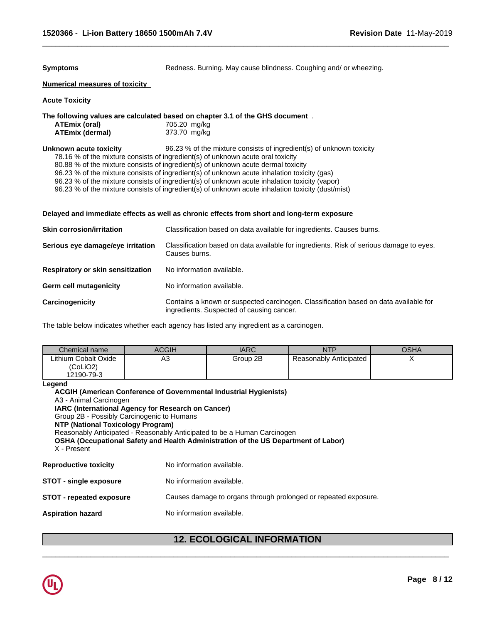**Symptoms** Redness. Burning. May cause blindness. Coughing and/ or wheezing.

 $\overline{\phantom{a}}$  ,  $\overline{\phantom{a}}$  ,  $\overline{\phantom{a}}$  ,  $\overline{\phantom{a}}$  ,  $\overline{\phantom{a}}$  ,  $\overline{\phantom{a}}$  ,  $\overline{\phantom{a}}$  ,  $\overline{\phantom{a}}$  ,  $\overline{\phantom{a}}$  ,  $\overline{\phantom{a}}$  ,  $\overline{\phantom{a}}$  ,  $\overline{\phantom{a}}$  ,  $\overline{\phantom{a}}$  ,  $\overline{\phantom{a}}$  ,  $\overline{\phantom{a}}$  ,  $\overline{\phantom{a}}$ 

# **Numerical measures of toxicity**

**Acute Toxicity**

## **The following values are calculated based on chapter 3.1 of the GHS document** .

| ATEmix (oral)   | 705.20 mg/kg |
|-----------------|--------------|
| ATEmix (dermal) | 373.70 mg/kg |

### **Unknown acute toxicity** 96.23 % of the mixture consists of ingredient(s) of unknown toxicity

78.16 % of the mixture consists of ingredient(s) of unknown acute oral toxicity

80.88 % of the mixture consists of ingredient(s) of unknown acute dermal toxicity

96.23 % of the mixture consists of ingredient(s) of unknown acute inhalation toxicity (gas)

96.23 % of the mixture consists of ingredient(s) of unknown acute inhalation toxicity (vapor)

96.23 % of the mixture consists of ingredient(s) of unknown acute inhalation toxicity (dust/mist)

### **Delayed and immediate effects as well as chronic effects from short and long-term exposure**

| <b>Skin corrosion/irritation</b>  | Classification based on data available for ingredients. Causes burns.                                                             |
|-----------------------------------|-----------------------------------------------------------------------------------------------------------------------------------|
| Serious eye damage/eye irritation | Classification based on data available for ingredients. Risk of serious damage to eyes.<br>Causes burns.                          |
| Respiratory or skin sensitization | No information available.                                                                                                         |
| <b>Germ cell mutagenicity</b>     | No information available.                                                                                                         |
| Carcinogenicity                   | Contains a known or suspected carcinogen. Classification based on data available for<br>ingredients. Suspected of causing cancer. |

The table below indicates whether each agency has listed any ingredient as a carcinogen.

| Chemical name                                  | <b>ACGIH</b> | <b>IARC</b> | NTP                    | OSHA |
|------------------------------------------------|--------------|-------------|------------------------|------|
| Lithium Cobalt Oxide<br>(CoLiO2)<br>12190-79-3 | ৲৴           | Group 2B    | Reasonably Anticipated |      |

**Legend**

| A3 - Animal Carcinogen<br>IARC (International Agency for Research on Cancer)<br>Group 2B - Possibly Carcinogenic to Humans<br><b>NTP (National Toxicology Program)</b><br>X - Present | <b>ACGIH (American Conference of Governmental Industrial Hygienists)</b><br>Reasonably Anticipated - Reasonably Anticipated to be a Human Carcinogen<br>OSHA (Occupational Safety and Health Administration of the US Department of Labor) |  |
|---------------------------------------------------------------------------------------------------------------------------------------------------------------------------------------|--------------------------------------------------------------------------------------------------------------------------------------------------------------------------------------------------------------------------------------------|--|
| <b>Reproductive toxicity</b>                                                                                                                                                          | No information available.                                                                                                                                                                                                                  |  |
| <b>STOT - single exposure</b>                                                                                                                                                         | No information available.                                                                                                                                                                                                                  |  |
| STOT - repeated exposure                                                                                                                                                              | Causes damage to organs through prolonged or repeated exposure.                                                                                                                                                                            |  |
| Aspiration hazard                                                                                                                                                                     | No information available.                                                                                                                                                                                                                  |  |

# **12. ECOLOGICAL INFORMATION**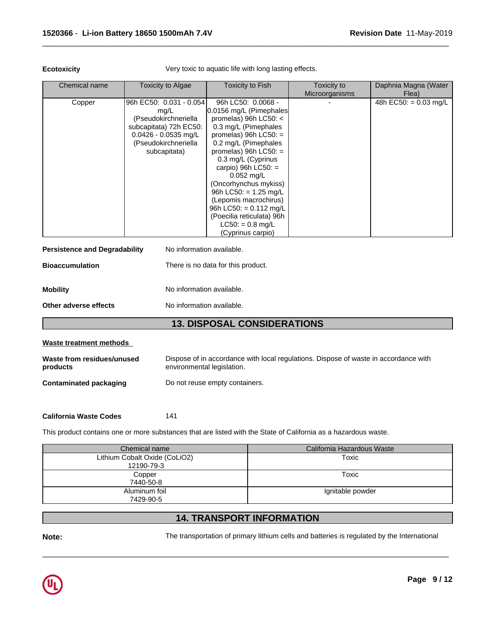**Ecotoxicity Very toxic to aquatic life with long lasting effects.** 

 $\overline{\phantom{a}}$  ,  $\overline{\phantom{a}}$  ,  $\overline{\phantom{a}}$  ,  $\overline{\phantom{a}}$  ,  $\overline{\phantom{a}}$  ,  $\overline{\phantom{a}}$  ,  $\overline{\phantom{a}}$  ,  $\overline{\phantom{a}}$  ,  $\overline{\phantom{a}}$  ,  $\overline{\phantom{a}}$  ,  $\overline{\phantom{a}}$  ,  $\overline{\phantom{a}}$  ,  $\overline{\phantom{a}}$  ,  $\overline{\phantom{a}}$  ,  $\overline{\phantom{a}}$  ,  $\overline{\phantom{a}}$ 

| Chemical name | Toxicity to Algae                                                                                                                                   | Toxicity to Fish                                                                                                                                                                                                                                                                                                                                                                                                                        | Toxicity to<br>Microorganisms | Daphnia Magna (Water<br>Flea) |
|---------------|-----------------------------------------------------------------------------------------------------------------------------------------------------|-----------------------------------------------------------------------------------------------------------------------------------------------------------------------------------------------------------------------------------------------------------------------------------------------------------------------------------------------------------------------------------------------------------------------------------------|-------------------------------|-------------------------------|
| Copper        | 96h EC50: 0.031 - 0.054<br>mg/L<br>(Pseudokirchneriella<br>subcapitata) 72h EC50:<br>$0.0426 - 0.0535$ mg/L<br>(Pseudokirchneriella<br>subcapitata) | 96h LC50: 0.0068 -<br>0.0156 mg/L (Pimephales<br>promelas) 96h LC50: $<$<br>0.3 mg/L (Pimephales<br>promelas) $96h$ LC50: =<br>0.2 mg/L (Pimephales<br>promelas) $96h$ LC50: =<br>0.3 mg/L (Cyprinus<br>carpio) 96h $LC50$ : =<br>$0.052$ mg/L<br>(Oncorhynchus mykiss)<br>96h LC50: = $1.25 \text{ mg/L}$<br>(Lepomis macrochirus)<br>96h LC50: = $0.112$ mg/L<br>(Poecilia reticulata) 96h<br>$LC50: = 0.8$ mg/L<br>(Cyprinus carpio) |                               | 48h EC50: = $0.03$ mg/L       |

| <b>Persistence and Degradability</b> | No information available.          |
|--------------------------------------|------------------------------------|
| <b>Bioaccumulation</b>               | There is no data for this product. |
| <b>Mobility</b>                      | No information available.          |
| Other adverse effects                | No information available.          |
|                                      | <b>13. DISPOSAL CONSIDERATIONS</b> |

### **Waste treatment methods**

| Waste from residues/unused | Dispose of in accordance with local regulations. Dispose of waste in accordance with |
|----------------------------|--------------------------------------------------------------------------------------|
| products                   | environmental legislation.                                                           |
| Contaminated packaging     | Do not reuse empty containers.                                                       |

**California Waste Codes** 141

This product contains one or more substances that are listed with the State of California as a hazardous waste.

| Chemical name                 | California Hazardous Waste |
|-------------------------------|----------------------------|
| Lithium Cobalt Oxide (CoLiO2) | Toxic                      |
| 12190-79-3                    |                            |
| Copper                        | Toxic                      |
| 7440-50-8                     |                            |
| Aluminum foil                 | Ignitable powder           |
| 7429-90-5                     |                            |

# **14. TRANSPORT INFORMATION**

Note: The transportation of primary lithium cells and batteries is regulated by the International

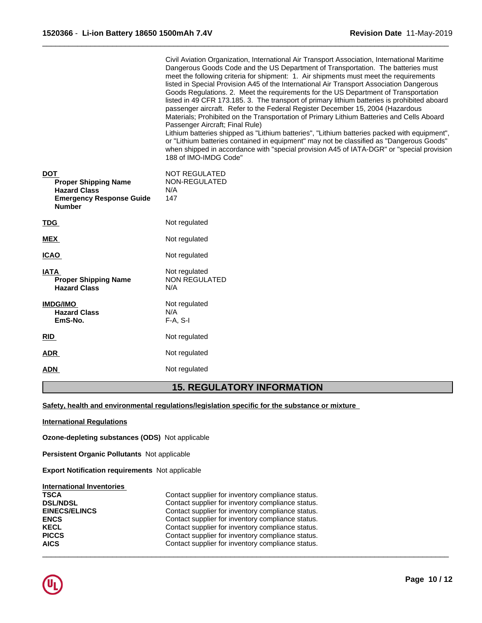|                                                                                                                      | Civil Aviation Organization, International Air Transport Association, International Maritime<br>Dangerous Goods Code and the US Department of Transportation. The batteries must<br>meet the following criteria for shipment: 1. Air shipments must meet the requirements<br>listed in Special Provision A45 of the International Air Transport Association Dangerous<br>Goods Regulations. 2. Meet the requirements for the US Department of Transportation<br>listed in 49 CFR 173.185. 3. The transport of primary lithium batteries is prohibited aboard<br>passenger aircraft. Refer to the Federal Register December 15, 2004 (Hazardous<br>Materials; Prohibited on the Transportation of Primary Lithium Batteries and Cells Aboard<br>Passenger Aircraft; Final Rule)<br>Lithium batteries shipped as "Lithium batteries", "Lithium batteries packed with equipment",<br>or "Lithium batteries contained in equipment" may not be classified as "Dangerous Goods"<br>when shipped in accordance with "special provision A45 of IATA-DGR" or "special provision<br>188 of IMO-IMDG Code" |
|----------------------------------------------------------------------------------------------------------------------|--------------------------------------------------------------------------------------------------------------------------------------------------------------------------------------------------------------------------------------------------------------------------------------------------------------------------------------------------------------------------------------------------------------------------------------------------------------------------------------------------------------------------------------------------------------------------------------------------------------------------------------------------------------------------------------------------------------------------------------------------------------------------------------------------------------------------------------------------------------------------------------------------------------------------------------------------------------------------------------------------------------------------------------------------------------------------------------------------|
| <b>DOT</b><br><b>Proper Shipping Name</b><br><b>Hazard Class</b><br><b>Emergency Response Guide</b><br><b>Number</b> | <b>NOT REGULATED</b><br>NON-REGULATED<br>N/A<br>147                                                                                                                                                                                                                                                                                                                                                                                                                                                                                                                                                                                                                                                                                                                                                                                                                                                                                                                                                                                                                                              |
| <u>TDG</u>                                                                                                           | Not regulated                                                                                                                                                                                                                                                                                                                                                                                                                                                                                                                                                                                                                                                                                                                                                                                                                                                                                                                                                                                                                                                                                    |
| <b>MEX</b>                                                                                                           | Not regulated                                                                                                                                                                                                                                                                                                                                                                                                                                                                                                                                                                                                                                                                                                                                                                                                                                                                                                                                                                                                                                                                                    |
| <b>ICAO</b>                                                                                                          | Not regulated                                                                                                                                                                                                                                                                                                                                                                                                                                                                                                                                                                                                                                                                                                                                                                                                                                                                                                                                                                                                                                                                                    |
| <b>IATA</b><br><b>Proper Shipping Name</b><br><b>Hazard Class</b>                                                    | Not regulated<br><b>NON REGULATED</b><br>N/A                                                                                                                                                                                                                                                                                                                                                                                                                                                                                                                                                                                                                                                                                                                                                                                                                                                                                                                                                                                                                                                     |
| <b>IMDG/IMO</b><br><b>Hazard Class</b><br>EmS-No.                                                                    | Not regulated<br>N/A<br>$F-A, S-I$                                                                                                                                                                                                                                                                                                                                                                                                                                                                                                                                                                                                                                                                                                                                                                                                                                                                                                                                                                                                                                                               |
| RID                                                                                                                  | Not regulated                                                                                                                                                                                                                                                                                                                                                                                                                                                                                                                                                                                                                                                                                                                                                                                                                                                                                                                                                                                                                                                                                    |
| ADR                                                                                                                  | Not regulated                                                                                                                                                                                                                                                                                                                                                                                                                                                                                                                                                                                                                                                                                                                                                                                                                                                                                                                                                                                                                                                                                    |
| <u>ADN</u>                                                                                                           | Not regulated                                                                                                                                                                                                                                                                                                                                                                                                                                                                                                                                                                                                                                                                                                                                                                                                                                                                                                                                                                                                                                                                                    |

# **15. REGULATORY INFORMATION**

 $\overline{\phantom{a}}$  ,  $\overline{\phantom{a}}$  ,  $\overline{\phantom{a}}$  ,  $\overline{\phantom{a}}$  ,  $\overline{\phantom{a}}$  ,  $\overline{\phantom{a}}$  ,  $\overline{\phantom{a}}$  ,  $\overline{\phantom{a}}$  ,  $\overline{\phantom{a}}$  ,  $\overline{\phantom{a}}$  ,  $\overline{\phantom{a}}$  ,  $\overline{\phantom{a}}$  ,  $\overline{\phantom{a}}$  ,  $\overline{\phantom{a}}$  ,  $\overline{\phantom{a}}$  ,  $\overline{\phantom{a}}$ 

### **Safety, health and environmental regulations/legislation specific for the substance or mixture**

**International Regulations**

**Ozone-depleting substances (ODS)** Notapplicable

**Persistent Organic Pollutants** Not applicable

**Export Notification requirements** Not applicable

### **International Inventories**

| <b>TSCA</b>     | Contact supplier for inventory compliance status. |
|-----------------|---------------------------------------------------|
| <b>DSL/NDSL</b> | Contact supplier for inventory compliance status. |
| EINECS/ELINCS   | Contact supplier for inventory compliance status. |
| <b>ENCS</b>     | Contact supplier for inventory compliance status. |
| <b>KECL</b>     | Contact supplier for inventory compliance status. |
| <b>PICCS</b>    | Contact supplier for inventory compliance status. |
| <b>AICS</b>     | Contact supplier for inventory compliance status. |

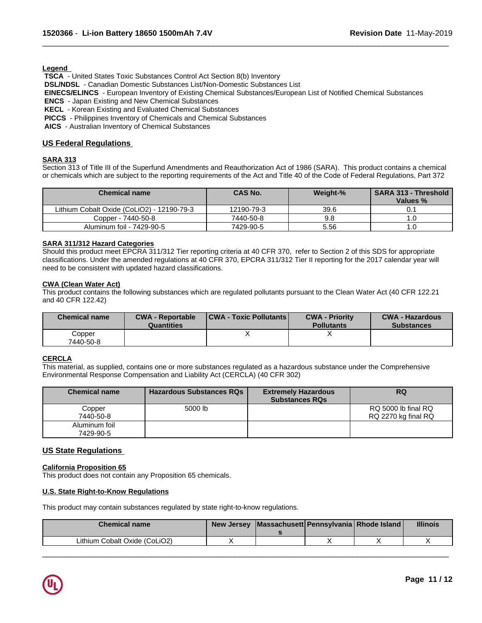**Legend** 

 **TSCA** - United States Toxic Substances Control Act Section 8(b) Inventory

 **DSL/NDSL** - Canadian Domestic Substances List/Non-Domestic Substances List

 **EINECS/ELINCS** - European Inventory of Existing Chemical Substances/European List of Notified Chemical Substances

 $\overline{\phantom{a}}$  ,  $\overline{\phantom{a}}$  ,  $\overline{\phantom{a}}$  ,  $\overline{\phantom{a}}$  ,  $\overline{\phantom{a}}$  ,  $\overline{\phantom{a}}$  ,  $\overline{\phantom{a}}$  ,  $\overline{\phantom{a}}$  ,  $\overline{\phantom{a}}$  ,  $\overline{\phantom{a}}$  ,  $\overline{\phantom{a}}$  ,  $\overline{\phantom{a}}$  ,  $\overline{\phantom{a}}$  ,  $\overline{\phantom{a}}$  ,  $\overline{\phantom{a}}$  ,  $\overline{\phantom{a}}$ 

 **ENCS** - Japan Existing and New Chemical Substances

 **KECL** - Korean Existing and Evaluated Chemical Substances

 **PICCS** - Philippines Inventory of Chemicals and Chemical Substances

 **AICS** - Australian Inventory of Chemical Substances

### **US Federal Regulations**

### **SARA 313**

Section 313 of Title III of the Superfund Amendments and Reauthorization Act of 1986 (SARA). This product contains a chemical or chemicals which are subject to the reporting requirements of the Act and Title 40 of the Code of Federal Regulations, Part 372

| <b>Chemical name</b>                       | <b>CAS No.</b> | Weight-% | <b>SARA 313 - Threshold</b><br>Values % |
|--------------------------------------------|----------------|----------|-----------------------------------------|
| Lithium Cobalt Oxide (CoLiO2) - 12190-79-3 | 12190-79-3     | 39.6     |                                         |
| Copper - 7440-50-8                         | 7440-50-8      | 9.8      | ı.u                                     |
| Aluminum foil - 7429-90-5                  | 7429-90-5      | 5.56     | ن. ا                                    |

### **SARA 311/312 Hazard Categories**

Should this product meet EPCRA 311/312 Tier reporting criteria at 40 CFR 370, refer to Section 2 of this SDS for appropriate classifications. Under the amended regulations at 40 CFR 370, EPCRA 311/312 Tier II reporting for the 2017 calendar year will need to be consistent with updated hazard classifications.

### **CWA (Clean WaterAct)**

This product contains the following substances which are regulated pollutants pursuant to the Clean Water Act (40 CFR 122.21 and 40 CFR 122.42)

| <b>Chemical name</b>             | <b>CWA - Reportable</b><br><b>Quantities</b> | <b>CWA - Toxic Pollutants</b> | <b>CWA - Priority</b><br><b>Pollutants</b> | <b>CWA - Hazardous</b><br><b>Substances</b> |
|----------------------------------|----------------------------------------------|-------------------------------|--------------------------------------------|---------------------------------------------|
| $\mathcal{L}$ opper<br>7440-50-8 |                                              | "                             |                                            |                                             |

### **CERCLA**

This material, as supplied, contains one or more substances regulated as a hazardous substance under the Comprehensive Environmental Response Compensation and Liability Act (CERCLA) (40 CFR 302)

| <b>Chemical name</b>       | <b>Hazardous Substances RQs</b> | <b>Extremely Hazardous</b><br><b>Substances RQs</b> | <b>RQ</b>                                  |
|----------------------------|---------------------------------|-----------------------------------------------------|--------------------------------------------|
| Copper<br>7440-50-8        | 5000 lb                         |                                                     | RQ 5000 lb final RQ<br>RQ 2270 kg final RQ |
| Aluminum foil<br>7429-90-5 |                                 |                                                     |                                            |

### **US State Regulations**

### **California Proposition 65**

This product does not contain any Proposition 65 chemicals.

### **U.S. State Right-to-Know Regulations**

This product may contain substances regulated by state right-to-know regulations.

| <b>Chemical name</b>          | New Jersey | ∴  Massachusett  Pennsylvania   Rhode Island |  | <b>Illinois</b> |
|-------------------------------|------------|----------------------------------------------|--|-----------------|
| Lithium Cobalt Oxide (CoLiO2) |            |                                              |  |                 |